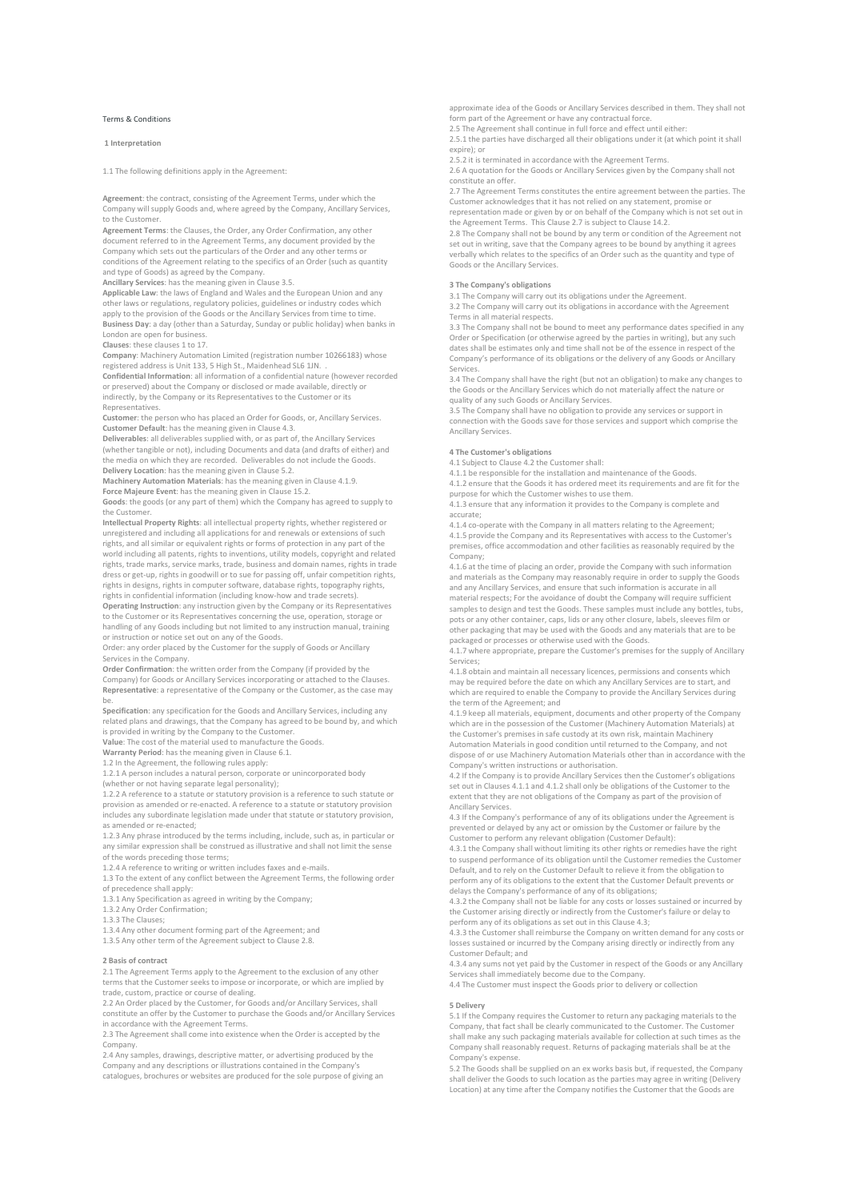# Terms & Conditions

# 1 Interpretation

1.1 The following definitions apply in the Agreement:

Agreement: the contract, consisting of the Agreement Terms, under which the Company will supply Goods and, where agreed by the Company, Ancillary Services, to the Customer.

Agreement Terms: the Clauses, the Order, any Order Confirmation, any other document referred to in the Agreement Terms, any document provided by the Company which sets out the particulars of the Order and any other terms conditions of the Agreement relating to the specifics of an Order (such as quantity and type of Goods) as agreed by the Company.

A<mark>ncillary Services</mark>: has the meaning given in Clause 3.5.<br>Applicable Law: the laws of England and Wales and the European Union and any other laws or regulations, regulatory policies, guidelines or industry codes which apply to the provision of the Goods or the Ancillary Services from time to time. Business Day: a day (other than a Saturday, Sunday or public holiday) when banks in London are open for business.

Clauses: these clauses 1 to 17.

Company: Machinery Automation Limited (registration number 10266183) whose registered address is Unit 133, 5 High St., Maidenhead SL6 1JN. .

Confidential Information: all information of a confidential nature (however recorded or preserved) about the Company or disclosed or made available, directly or indirectly, by the Company or its Representatives to the Customer or its Representatives.

Customer: the person who has placed an Order for Goods, or, Ancillary Services. Customer Default: has the meaning given in Clause 4.3.

Deliverables: all deliverables supplied with, or as part of, the Ancillary Services (whether tangible or not), including Documents and data (and drafts of either) and the media on which they are recorded. Deliverables do not include the Goods.

Delivery Location: has the meaning given in Clause 5.2. Machinery Automation Materials: has the meaning given in Clause 4.1.9.

Force Majeure Event: has the meaning given in Clause 15.2.

Goods: the goods (or any part of them) which the Company has agreed to supply to the Customer.

Intellectual Property Rights: all intellectual property rights, whether registered or unregistered and including all applications for and renewals or extensions of such rights, and all similar or equivalent rights or forms of protection in any part of the world including all patents, rights to inventions, utility models, copyright and related rights, trade marks, service marks, trade, business and domain names, rights in trade dress or get-up, rights in goodwill or to sue for passing off, unfair competition rights, rights in designs, rights in computer software, database rights, topography rights, rights in confidential information (including know-how and trade secrets).

Operating Instruction: any instruction given by the Company or its Representatives<br>to the Customer or its Representatives concerning the use, operation, storage or handling of any Goods including but not limited to any instruction manual, training or instruction or notice set out on any of the Goods.

Order: any order placed by the Customer for the supply of Goods or Ancillary Services in the Company.

Order Confirmation: the written order from the Company (if provided by the Company) for Goods or Ancillary Services incorporating or attached to the Clauses. Representative: a representative of the Company or the Customer, as the case may be.

Specification: any specification for the Goods and Ancillary Services, including any related plans and drawings, that the Company has agreed to be bound by, and which is provided in writing by the Company to the Customer.

Value: The cost of the material used to manufacture the Goods.

Warranty Period: has the meaning given in Clause 6.1.

1.2 In the Agreement, the following rules apply:

1.2.1 A person includes a natural person, corporate or unincorporated body

ether or not having separate legal personality); 1.2.2 A reference to a statute or statutory provision is a reference to such statute or provision as amended or re-enacted. A reference to a statute or statutory provision includes any subordinate legislation made under that statute or statutory provision, as amended or re-enacted;

1.2.3 Any phrase introduced by the terms including, include, such as, in particular or any similar expression shall be construed as illustrative and shall not limit the sense of the words preceding those terms;

1.2.4 A reference to writing or written includes faxes and e-mails.

1.3 To the extent of any conflict between the Agreement Terms, the following order of precedence shall apply:

1.3.1 Any Specification as agreed in writing by the Company;

1.3.2 Any Order Confirmation;

1.3.3 The Clauses;

1.3.4 Any other document forming part of the Agreement; and

1.3.5 Any other term of the Agreement subject to Clause 2.8.

# 2 Basis of contract

2.1 The Agreement Terms apply to the Agreement to the exclusion of any other terms that the Customer seeks to impose or incorporate, or which are implied by trade, custom, practice or course of dealing.

2.2 An Order placed by the Customer, for Goods and/or Ancillary Services, shall constitute an offer by the Customer to purchase the Goods and/or Ancillary Services in accordance with the Agreement Terms.

2.3 The Agreement shall come into existence when the Order is accepted by the Company.

2.4 Any samples, drawings, descriptive matter, or advertising produced by the Company and any descriptions or illustrations contained in the Company's catalogues, brochures or websites are produced for the sole purpose of giving an approximate idea of the Goods or Ancillary Services described in them. They shall not form part of the Agreement or have any contractual force.

2.5 The Agreement shall continue in full force and effect until either:

2.5.1 the parties have discharged all their obligations under it (at which point it shall expire); or

2.5.2 it is terminated in accordance with the Agreement Terms. 2.6 A quotation for the Goods or Ancillary Services given by the Company shall not

constitute an offer. 2.7 The Agreement Terms constitutes the entire agreement between the parties. The

Customer acknowledges that it has not relied on any statement, promise or representation made or given by or on behalf of the Company which is not set out in the Agreement Terms. This Clause 2.7 is subject to Clause 14.2.

2.8 The Company shall not be bound by any term or condition of the Agreement not set out in writing, save that the Company agrees to be bound by anything it agrees verbally which relates to the specifics of an Order such as the quantity and type of Goods or the Ancillary Services.

# 3 The Company's obligations

3.1 The Company will carry out its obligations under the Agreement.

3.2 The Company will carry out its obligations in accordance with the Agreement Terms in all material respects.

3.3 The Company shall not be bound to meet any performance dates specified in any Order or Specification (or otherwise agreed by the parties in writing), but any such dates shall be estimates only and time shall not be of the essence in respect of the Company's performance of its obligations or the delivery of any Goods or Ancillary Services.

3.4 The Company shall have the right (but not an obligation) to make any changes to the Goods or the Ancillary Services which do not materially affect the nature or quality of any such Goods or Ancillary Services.

3.5 The Company shall have no obligation to provide any services or support in connection with the Goods save for those services and support which comprise the Ancillary Services.

#### 4 The Customer's obligations

4.1 Subject to Clause 4.2 the Customer shall:

4.1.1 be responsible for the installation and maintenance of the Goods.

4.1.2 ensure that the Goods it has ordered meet its requirements and are fit for the purpose for which the Customer wishes to use them. 4.1.3 ensure that any information it provides to the Company is complete and accurate;

4.1.4 co-operate with the Company in all matters relating to the Agreement; 4.1.5 provide the Company and its Representatives with access to the Customer's premises, office accommodation and other facilities as reasonably required by the Company;

4.1.6 at the time of placing an order, provide the Company with such information and materials as the Company may reasonably require in order to supply the Goods and any Ancillary Services, and ensure that such information is accurate in all material respects; For the avoidance of doubt the Company will require sufficient samples to design and test the Goods. These samples must include any bottles, tubs, pots or any other container, caps, lids or any other closure, labels, sleeves film or other packaging that may be used with the Goods and any materials that are to be

packaged or processes or otherwise used with the Goods. 4.1.7 where appropriate, prepare the Customer's premises for the supply of Ancillary Services;

4.1.8 obtain and maintain all necessary licences, permissions and consents which may be required before the date on which any Ancillary Services are to start, and which are required to enable the Company to provide the Ancillary Services during<br>which are required to enable the Company to provide the Ancillary Services during the term of the Agreement; and

4.1.9 keep all materials, equipment, documents and other property of the Company which are in the possession of the Customer (Machinery Automation Materials) at the Customer's premises in safe custody at its own risk, maintain Machinery Automation Materials in good condition until returned to the Company, and not

dispose of or use Machinery Automation Materials other than in accordance with the Company's written instructions or authorisation.

4.2 If the Company is to provide Ancillary Services then the Customer's obligations set out in Clauses 4.1.1 and 4.1.2 shall only be obligations of the Customer to the extent that they are not obligations of the Company as part of the provision of Ancillary Services.

4.3 If the Company's performance of any of its obligations under the Agreement is prevented or delayed by any act or omission by the Customer or failure by the Customer to perform any relevant obligation (Customer Default):

4.3.1 the Company shall without limiting its other rights or remedies have the right to suspend performance of its obligation until the Customer remedies the Custo Default, and to rely on the Customer Default to relieve it from the obligation to perform any of its obligations to the extent that the Customer Default prevents or

delays the Company's performance of any of its obligations; 4.3.2 the Company shall not be liable for any costs or losses sustained or incurred by the Customer arising directly or indirectly from the Customer's failure or delay to perform any of its obligations as set out in this Clause 4.3;

4.3.3 the Customer shall reimburse the Company on written demand for any costs or losses sustained or incurred by the Company arising directly or indirectly from any Customer Default; and

4.3.4 any sums not yet paid by the Customer in respect of the Goods or any Ancillary Services shall immediately become due to the Company.

4.4 The Customer must inspect the Goods prior to delivery or collection

# 5 Delivery

5.1 If the Company requires the Customer to return any packaging materials to the Company, that fact shall be clearly communicated to the Customer. The Customer shall make any such packaging materials available for collection at such times as the Company shall reasonably request. Returns of packaging materials shall be at the Company's expense.

5.2 The Goods shall be supplied on an ex works basis but, if requested, the Company shall deliver the Goods to such location as the parties may agree in writing (Delivery Location) at any time after the Company notifies the Customer that the Goods are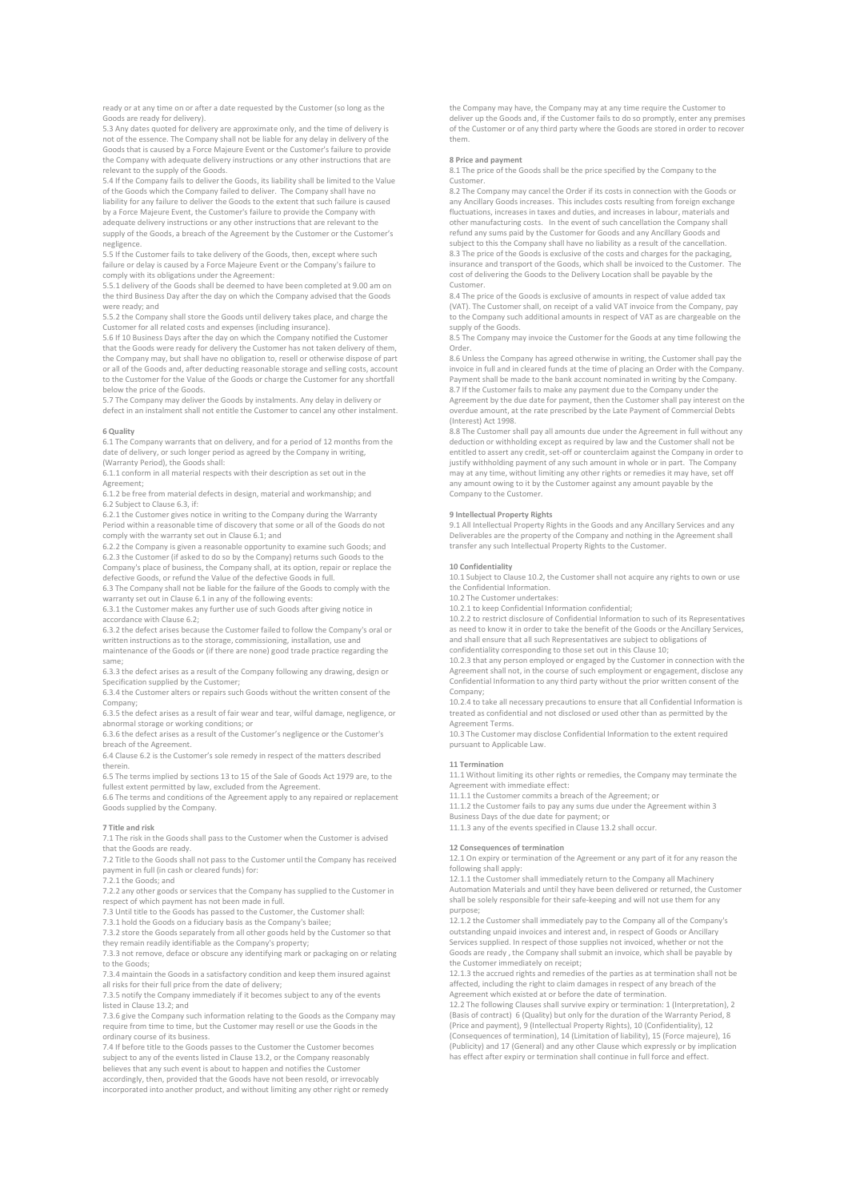ready or at any time on or after a date requested by the Customer (so long as the Goods are ready for delivery).

5.3 Any dates quoted for delivery are approximate only, and the time of delivery is not of the essence. The Company shall not be liable for any delay in delivery of the Goods that is caused by a Force Majeure Event or the Customer's failure to provide the Company with adequate delivery instructions or any other instructions that are relevant to the supply of the Goods.

5.4 If the Company fails to deliver the Goods, its liability shall be limited to the Value of the Goods which the Company failed to deliver. The Company shall have no liability for any failure to deliver the Goods to the extent that such failure is caused by a Force Majeure Event, the Customer's failure to provide the Company with adequate delivery instructions or any other instructions that are relevant to the supply of the Goods, a breach of the Agreement by the Customer or the Customer's

negligence. 5.5 If the Customer fails to take delivery of the Goods, then, except where such failure or delay is caused by a Force Majeure Event or the Company's failure to comply with its obligations under the Agreement:

5.5.1 delivery of the Goods shall be deemed to have been completed at 9.00 am on

the third Business Day after the day on which the Company advised that the Goods were ready; and

5.5.2 the Company shall store the Goods until delivery takes place, and charge the Customer for all related costs and expenses (including insurance).

5.6 If 10 Business Days after the day on which the Company notified the Customer that the Goods were ready for delivery the Customer has not taken delivery of them, the Company may, but shall have no obligation to, resell or otherwise dispose of part or all of the Goods and, after deducting reasonable storage and selling costs, account to the Customer for the Value of the Goods or charge the Customer for any shortfall below the price of the Goods.

5.7 The Company may deliver the Goods by instalments. Any delay in delivery or defect in an instalment shall not entitle the Customer to cancel any other instalment.

### 6 Quality

6.1 The Company warrants that on delivery, and for a period of 12 months from the date of delivery, or such longer period as agreed by the Company in writing, (Warranty Period), the Goods shall:

6.1.1 conform in all material respects with their description as set out in the Agreement;

6.1.2 be free from material defects in design, material and workmanship; and 6.2 Subject to Clause 6.3, if:

6.2.1 the Customer gives notice in writing to the Company during the Warranty Period within a reasonable time of discovery that some or all of the Goods do not comply with the warranty set out in Clause 6.1; and

6.2.2 the Company is given a reasonable opportunity to examine such Goods; and 6.2.3 the Customer (if asked to do so by the Company) returns such Goods to the Company's place of business, the Company shall, at its option, repair or replace the defective Goods, or refund the Value of the defective Goods in full.

6.3 The Company shall not be liable for the failure of the Goods to comply with the

warranty set out in Clause 6.1 in any of the following events:<br>6.3.1 the Customer makes any further use of such Goods after giving notice in accordance with Clause 6.2;

6.3.2 the defect arises because the Customer failed to follow the Company's oral or written instructions as to the storage, commissioning, installation, use and maintenance of the Goods or (if there are none) good trade practice regarding the

same; 6.3.3 the defect arises as a result of the Company following any drawing, design or

Specification supplied by the Customer; 6.3.4 the Customer alters or repairs such Goods without the written consent of the

Company; 6.3.5 the defect arises as a result of fair wear and tear, wilful damage, negligence, or

abnormal storage or working conditions; or

6.3.6 the defect arises as a result of the Customer's negligence or the Customer's breach of the Agreement.

6.4 Clause 6.2 is the Customer's sole remedy in respect of the matters described therein.

6.5 The terms implied by sections 13 to 15 of the Sale of Goods Act 1979 are, to the fullest extent permitted by law, excluded from the Agreement.

6.6 The terms and conditions of the Agreement apply to any repaired or replacement Goods supplied by the Company.

### 7 Title and risk

7.1 The risk in the Goods shall pass to the Customer when the Customer is advised that the Goods are ready.

7.2 Title to the Goods shall not pass to the Customer until the Company has received payment in full (in cash or cleared funds) for:

7.2.1 the Goods; and

7.2.2 any other goods or services that the Company has supplied to the Customer in respect of which payment has not been made in full.

7.3 Until title to the Goods has passed to the Customer, the Customer shall:

7.3.1 hold the Goods on a fiduciary basis as the Company's bailee;

7.3.2 store the Goods separately from all other goods held by the Customer so that they remain readily identifiable as the Company's property; 7.3.3 not remove, deface or obscure any identifying mark or packaging on or relating

to the Goods;

7.3.4 maintain the Goods in a satisfactory condition and keep them insured against all risks for their full price from the date of delivery;

7.3.5 notify the Company immediately if it becomes subject to any of the events listed in Clause 13.2; and

7.3.6 give the Company such information relating to the Goods as the Company may require from time to time, but the Customer may resell or use the Goods in the ordinary course of its business.

7.4 If before title to the Goods passes to the Customer the Customer becomes subject to any of the events listed in Clause 13.2, or the Company reasonably believes that any such event is about to happen and notifies the Customer accordingly, then, provided that the Goods have not been resold, or irrevocably incorporated into another product, and without limiting any other right or remedy the Company may have, the Company may at any time require the Customer to deliver up the Goods and, if the Customer fails to do so promptly, enter any premises of the Customer or of any third party where the Goods are stored in order to recover them.

#### 8 Price and payment

8.1 The price of the Goods shall be the price specified by the Company to the Customer.

8.2 The Company may cancel the Order if its costs in connection with the Goods or any Ancillary Goods increases. This includes costs resulting from foreign exchange fluctuations, increases in taxes and duties, and increases in labour, materials and other manufacturing costs. In the event of such cancellation the Company shall refund any sums paid by the Customer for Goods and any Ancillary Goods and subject to this the Company shall have no liability as a result of the cancellation. 8.3 The price of the Goods is exclusive of the costs and charges for the packaging, insurance and transport of the Goods, which shall be invoiced to the Customer. The cost of delivering the Goods to the Delivery Location shall be payable by the

Customer. 8.4 The price of the Goods is exclusive of amounts in respect of value added tax (VAT). The Customer shall, on receipt of a valid VAT invoice from the Company, pay to the Company such additional amounts in respect of VAT as are chargeable on the

supply of the Goods 8.5 The Company may invoice the Customer for the Goods at any time following the Order.

8.6 Unless the Company has agreed otherwise in writing, the Customer shall pay the invoice in full and in cleared funds at the time of placing an Order with the Company. Payment shall be made to the bank account nominated in writing by the Company. 8.7 If the Customer fails to make any payment due to the Company under the Agreement by the due date for payment, then the Customer shall pay interest on the overdue amount, at the rate prescribed by the Late Payment of Commercial Debts

(Interest) Act 1998. 8.8 The Customer shall pay all amounts due under the Agreement in full without any deduction or withholding except as required by law and the Customer shall not be entitled to assert any credit, set-off or counterclaim against the Company in order to justify withholding payment of any such amount in whole or in part. The Company may at any time, without limiting any other rights or remedies it may have, set off any amount owing to it by the Customer against any amount payable by the Company to the Customer.

#### 9 Intellectual Property Rights

9.1 All Intellectual Property Rights in the Goods and any Ancillary Services and any Deliverables are the property of the Company and nothing in the Agreement shall transfer any such Intellectual Property Rights to the Customer.

### 10 Confidentiality

10.1 Subject to Clause 10.2, the Customer shall not acquire any rights to own or use the Confidential Information.

10.2 The Customer undertakes:

10.2.1 to keep Confidential Information confidential;

10.2.2 to restrict disclosure of Confidential Information to such of its Representatives as need to know it in order to take the benefit of the Goods or the Ancillary Services, and shall ensure that all such Representatives are subject to obligations of

confidentiality corresponding to those set out in this Clause 10;

10.2.3 that any person employed or engaged by the Customer in connection with the Agreement shall not, in the course of such employment or engagement, disclose any Confidential Information to any third party without the prior written consent of the Company;

10.2.4 to take all necessary precautions to ensure that all Confidential Information is treated as confidential and not disclosed or used other than as permitted by the Agreement Terms.

10.3 The Customer may disclose Confidential Information to the extent required pursuant to Applicable Law.

#### 11 Termination

11.1 Without limiting its other rights or remedies, the Company may terminate the Agreement with immediate effect:

11.1.1 the Customer commits a breach of the Agreement; or

11.1.2 the Customer fails to pay any sums due under the Agreement within 3 Business Days of the due date for payment; or

11.1.3 any of the events specified in Clause 13.2 shall occur.

12 Consequences of termination

12.1 On expiry or termination of the Agreement or any part of it for any reason the following shall apply: 12.1.1 the Customer shall immediately return to the Company all Machinery

Automation Materials and until they have been delivered or returned, the Customer shall be solely responsible for their safe-keeping and will not use them for any purpose;

12.1.2 the Customer shall immediately pay to the Company all of the Company's outstanding unpaid invoices and interest and, in respect of Goods or Ancillary Services supplied. In respect of those supplies not invoiced, whether or not the Goods are ready , the Company shall submit an invoice, which shall be payable by the Customer immediately on receipt;

12.1.3 the accrued rights and remedies of the parties as at termination shall not be affected, including the right to claim damages in respect of any breach of the Agreement which existed at or before the date of termination.

12.2 The following Clauses shall survive expiry or termination: 1 (Interpretation), 2 (Basis of contract) 6 (Quality) but only for the duration of the Warranty Period, 8 (Price and payment), 9 (Intellectual Property Rights), 10 (Confidentiality), 12 (Consequences of termination), 14 (Limitation of liability), 15 (Force majeure), 16 (Publicity) and 17 (General) and any other Clause which expressly or by implication has effect after expiry or termination shall continue in full force and effect.